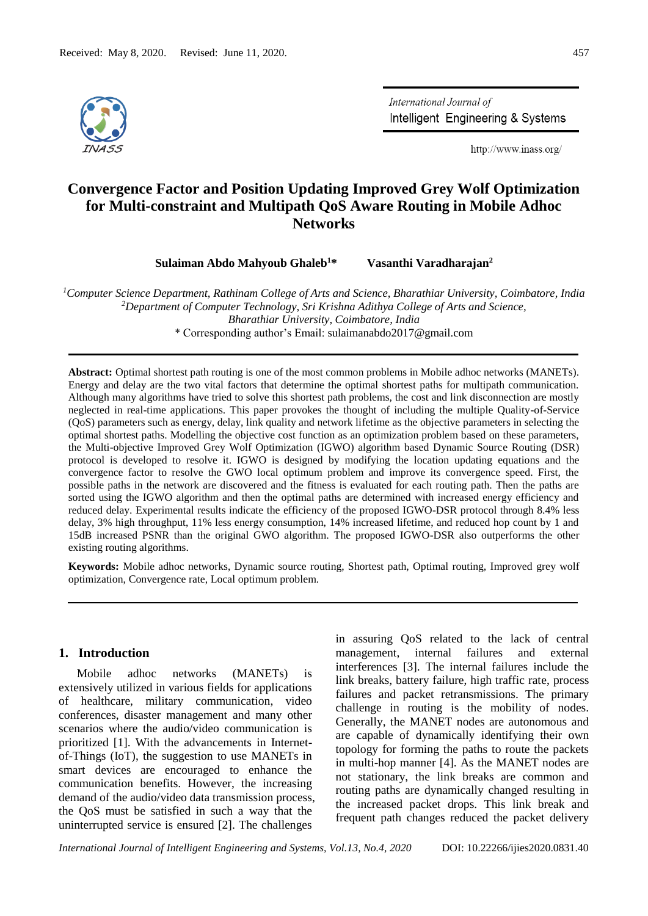

International Journal of Intelligent Engineering & Systems

http://www.inass.org/

# **Convergence Factor and Position Updating Improved Grey Wolf Optimization for Multi-constraint and Multipath QoS Aware Routing in Mobile Adhoc Networks**

**Sulaiman Abdo Mahyoub Ghaleb<sup>1</sup>\* Vasanthi Varadharajan<sup>2</sup>**

*<sup>1</sup>Computer Science Department, Rathinam College of Arts and Science, Bharathiar University, Coimbatore, India <sup>2</sup>Department of Computer Technology, Sri Krishna Adithya College of Arts and Science, Bharathiar University, Coimbatore, India* \* Corresponding author's Email: sulaimanabdo2017@gmail.com

**Abstract:** Optimal shortest path routing is one of the most common problems in Mobile adhoc networks (MANETs). Energy and delay are the two vital factors that determine the optimal shortest paths for multipath communication. Although many algorithms have tried to solve this shortest path problems, the cost and link disconnection are mostly neglected in real-time applications. This paper provokes the thought of including the multiple Quality-of-Service (QoS) parameters such as energy, delay, link quality and network lifetime as the objective parameters in selecting the optimal shortest paths. Modelling the objective cost function as an optimization problem based on these parameters, the Multi-objective Improved Grey Wolf Optimization (IGWO) algorithm based Dynamic Source Routing (DSR) protocol is developed to resolve it. IGWO is designed by modifying the location updating equations and the convergence factor to resolve the GWO local optimum problem and improve its convergence speed. First, the possible paths in the network are discovered and the fitness is evaluated for each routing path. Then the paths are sorted using the IGWO algorithm and then the optimal paths are determined with increased energy efficiency and reduced delay. Experimental results indicate the efficiency of the proposed IGWO-DSR protocol through 8.4% less delay, 3% high throughput, 11% less energy consumption, 14% increased lifetime, and reduced hop count by 1 and 15dB increased PSNR than the original GWO algorithm. The proposed IGWO-DSR also outperforms the other existing routing algorithms.

**Keywords:** Mobile adhoc networks, Dynamic source routing, Shortest path, Optimal routing, Improved grey wolf optimization, Convergence rate, Local optimum problem.

## **1. Introduction**

Mobile adhoc networks (MANETs) is extensively utilized in various fields for applications of healthcare, military communication, video conferences, disaster management and many other scenarios where the audio/video communication is prioritized [1]. With the advancements in Internetof-Things (IoT), the suggestion to use MANETs in smart devices are encouraged to enhance the communication benefits. However, the increasing demand of the audio/video data transmission process, the QoS must be satisfied in such a way that the uninterrupted service is ensured [2]. The challenges

in assuring QoS related to the lack of central management, internal failures and external interferences [3]. The internal failures include the link breaks, battery failure, high traffic rate, process failures and packet retransmissions. The primary challenge in routing is the mobility of nodes. Generally, the MANET nodes are autonomous and are capable of dynamically identifying their own topology for forming the paths to route the packets in multi-hop manner [4]. As the MANET nodes are not stationary, the link breaks are common and routing paths are dynamically changed resulting in the increased packet drops. This link break and frequent path changes reduced the packet delivery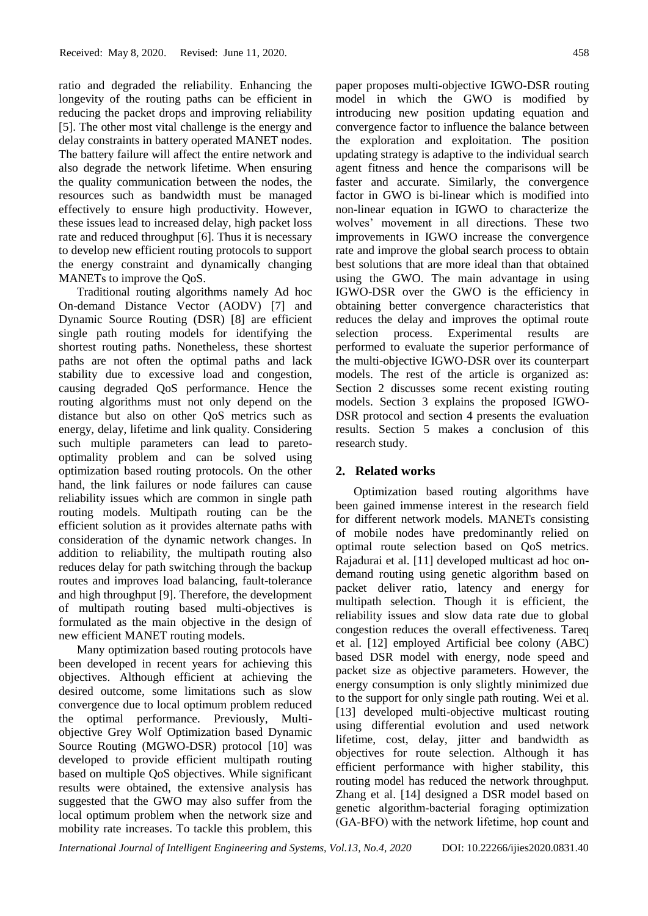ratio and degraded the reliability. Enhancing the longevity of the routing paths can be efficient in reducing the packet drops and improving reliability [5]. The other most vital challenge is the energy and delay constraints in battery operated MANET nodes. The battery failure will affect the entire network and also degrade the network lifetime. When ensuring the quality communication between the nodes, the resources such as bandwidth must be managed effectively to ensure high productivity. However, these issues lead to increased delay, high packet loss rate and reduced throughput [6]. Thus it is necessary to develop new efficient routing protocols to support the energy constraint and dynamically changing MANETs to improve the QoS.

Traditional routing algorithms namely Ad hoc On-demand Distance Vector (AODV) [7] and Dynamic Source Routing (DSR) [8] are efficient single path routing models for identifying the shortest routing paths. Nonetheless, these shortest paths are not often the optimal paths and lack stability due to excessive load and congestion, causing degraded QoS performance. Hence the routing algorithms must not only depend on the distance but also on other QoS metrics such as energy, delay, lifetime and link quality. Considering such multiple parameters can lead to paretooptimality problem and can be solved using optimization based routing protocols. On the other hand, the link failures or node failures can cause reliability issues which are common in single path routing models. Multipath routing can be the efficient solution as it provides alternate paths with consideration of the dynamic network changes. In addition to reliability, the multipath routing also reduces delay for path switching through the backup routes and improves load balancing, fault-tolerance and high throughput [9]. Therefore, the development of multipath routing based multi-objectives is formulated as the main objective in the design of new efficient MANET routing models.

Many optimization based routing protocols have been developed in recent years for achieving this objectives. Although efficient at achieving the desired outcome, some limitations such as slow convergence due to local optimum problem reduced the optimal performance. Previously, Multiobjective Grey Wolf Optimization based Dynamic Source Routing (MGWO-DSR) protocol [10] was developed to provide efficient multipath routing based on multiple QoS objectives. While significant results were obtained, the extensive analysis has suggested that the GWO may also suffer from the local optimum problem when the network size and mobility rate increases. To tackle this problem, this

paper proposes multi-objective IGWO-DSR routing model in which the GWO is modified by introducing new position updating equation and convergence factor to influence the balance between the exploration and exploitation. The position updating strategy is adaptive to the individual search agent fitness and hence the comparisons will be faster and accurate. Similarly, the convergence factor in GWO is bi-linear which is modified into non-linear equation in IGWO to characterize the wolves' movement in all directions. These two improvements in IGWO increase the convergence rate and improve the global search process to obtain best solutions that are more ideal than that obtained using the GWO. The main advantage in using IGWO-DSR over the GWO is the efficiency in obtaining better convergence characteristics that reduces the delay and improves the optimal route selection process. Experimental results are performed to evaluate the superior performance of the multi-objective IGWO-DSR over its counterpart models. The rest of the article is organized as: Section 2 discusses some recent existing routing models. Section 3 explains the proposed IGWO-DSR protocol and section 4 presents the evaluation results. Section 5 makes a conclusion of this research study.

### **2. Related works**

Optimization based routing algorithms have been gained immense interest in the research field for different network models. MANETs consisting of mobile nodes have predominantly relied on optimal route selection based on QoS metrics. Rajadurai et al. [11] developed multicast ad hoc ondemand routing using genetic algorithm based on packet deliver ratio, latency and energy for multipath selection. Though it is efficient, the reliability issues and slow data rate due to global congestion reduces the overall effectiveness. Tareq et al. [12] employed Artificial bee colony (ABC) based DSR model with energy, node speed and packet size as objective parameters. However, the energy consumption is only slightly minimized due to the support for only single path routing. Wei et al. [13] developed multi-objective multicast routing using differential evolution and used network lifetime, cost, delay, jitter and bandwidth as objectives for route selection. Although it has efficient performance with higher stability, this routing model has reduced the network throughput. Zhang et al. [14] designed a DSR model based on genetic algorithm‐bacterial foraging optimization (GA‐BFO) with the network lifetime, hop count and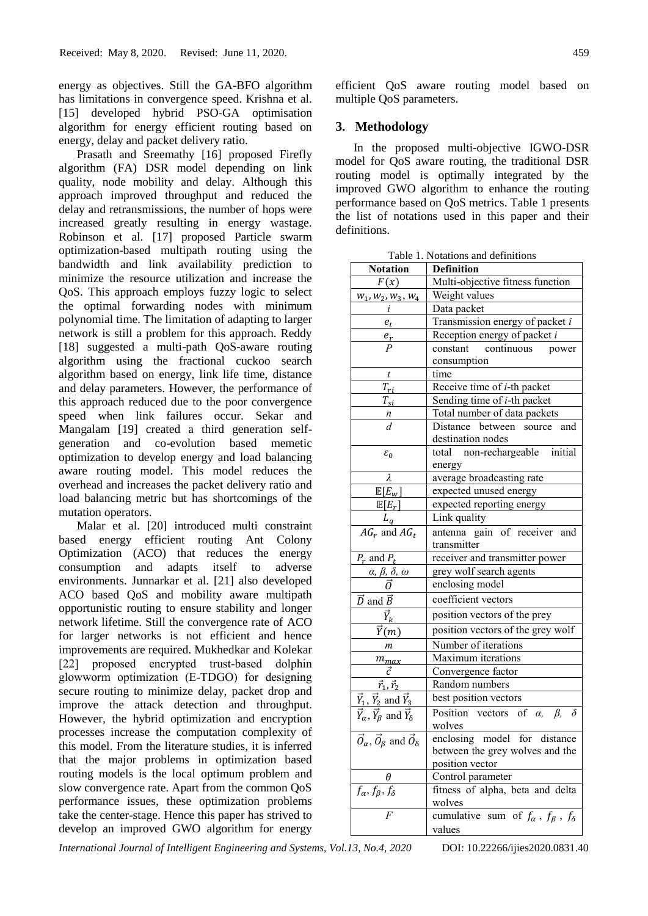energy as objectives. Still the GA-BFO algorithm has limitations in convergence speed. Krishna et al. [15] developed hybrid PSO-GA optimisation algorithm for energy efficient routing based on energy, delay and packet delivery ratio.

Prasath and Sreemathy [16] proposed Firefly algorithm (FA) DSR model depending on link quality, node mobility and delay. Although this approach improved throughput and reduced the delay and retransmissions, the number of hops were increased greatly resulting in energy wastage. Robinson et al. [17] proposed Particle swarm optimization-based multipath routing using the bandwidth and link availability prediction to minimize the resource utilization and increase the QoS. This approach employs fuzzy logic to select the optimal forwarding nodes with minimum polynomial time. The limitation of adapting to larger network is still a problem for this approach. Reddy [18] suggested a multi-path QoS-aware routing algorithm using the fractional cuckoo search algorithm based on energy, link life time, distance and delay parameters. However, the performance of this approach reduced due to the poor convergence speed when link failures occur. Sekar and Mangalam [19] created a third generation selfgeneration and co-evolution based memetic optimization to develop energy and load balancing aware routing model. This model reduces the overhead and increases the packet delivery ratio and load balancing metric but has shortcomings of the mutation operators.

Malar et al. [20] introduced multi constraint based energy efficient routing Ant Colony Optimization (ACO) that reduces the energy consumption and adapts itself to adverse environments. Junnarkar et al. [21] also developed ACO based QoS and mobility aware multipath opportunistic routing to ensure stability and longer network lifetime. Still the convergence rate of ACO for larger networks is not efficient and hence improvements are required. Mukhedkar and Kolekar [22] proposed encrypted trust-based dolphin glowworm optimization (E‐TDGO) for designing secure routing to minimize delay, packet drop and improve the attack detection and throughput. However, the hybrid optimization and encryption processes increase the computation complexity of this model. From the literature studies, it is inferred that the major problems in optimization based routing models is the local optimum problem and slow convergence rate. Apart from the common QoS performance issues, these optimization problems take the center-stage. Hence this paper has strived to develop an improved GWO algorithm for energy

efficient QoS aware routing model based on multiple QoS parameters.

## **3. Methodology**

In the proposed multi-objective IGWO-DSR model for QoS aware routing, the traditional DSR routing model is optimally integrated by the improved GWO algorithm to enhance the routing performance based on QoS metrics. Table 1 presents the list of notations used in this paper and their definitions.

| Table 1. Notations and definitions                                      |                                                                          |  |  |
|-------------------------------------------------------------------------|--------------------------------------------------------------------------|--|--|
| <b>Notation</b>                                                         | <b>Definition</b>                                                        |  |  |
| F(x)                                                                    | Multi-objective fitness function                                         |  |  |
| $W_1, W_2, W_3, W_4$                                                    | Weight values                                                            |  |  |
| i                                                                       | Data packet                                                              |  |  |
| $e_t$                                                                   | Transmission energy of packet i                                          |  |  |
| $\frac{e_r}{P}$                                                         | Reception energy of packet i                                             |  |  |
|                                                                         | continuous power<br>constant                                             |  |  |
|                                                                         | consumption                                                              |  |  |
| $\boldsymbol{t}$                                                        | time                                                                     |  |  |
| $T_{ri}$                                                                | Receive time of <i>i</i> -th packet                                      |  |  |
| $T_{\mathrm{s}i}$                                                       | Sending time of <i>i</i> -th packet                                      |  |  |
|                                                                         | Total number of data packets                                             |  |  |
| $\frac{n}{d}$                                                           | Distance between source and<br>destination nodes                         |  |  |
| $\varepsilon_0$                                                         | total non-rechargeable initial<br>energy                                 |  |  |
| λ                                                                       | average broadcasting rate                                                |  |  |
| $\mathbb{E}[E_w]$                                                       | expected unused energy                                                   |  |  |
| $\mathbb{E}[E_r]$                                                       | expected reporting energy                                                |  |  |
| $L_q$                                                                   | Link quality                                                             |  |  |
| $\overline{AG_r}$ and $AG_t$                                            | antenna gain of receiver and                                             |  |  |
|                                                                         | transmitter                                                              |  |  |
|                                                                         | receiver and transmitter power                                           |  |  |
|                                                                         | grey wolf search agents                                                  |  |  |
| $\frac{\overline{P_r \text{ and } P_t}}{\alpha, \beta, \delta, \omega}$ | enclosing model                                                          |  |  |
| $\vec{D}$ and $\vec{B}$                                                 | coefficient vectors                                                      |  |  |
| $\vec{Y}_k$                                                             | position vectors of the prey                                             |  |  |
| $\vec{Y}(m)$                                                            | position vectors of the grey wolf                                        |  |  |
| m                                                                       | Number of iterations                                                     |  |  |
|                                                                         | Maximum iterations                                                       |  |  |
| $\frac{m_{max}}{\vec{c}}$                                               | Convergence factor                                                       |  |  |
|                                                                         | Random numbers                                                           |  |  |
| $\frac{\vec{r}_1, \vec{r}_2}{\vec{Y}_1, \vec{Y}_2}$ and $\vec{Y}_3$     | best position vectors                                                    |  |  |
| $\vec{Y}_{\alpha}$ , $\vec{Y}_{\beta}$ and $\vec{Y}_{\delta}$           | Position vectors of $\alpha$ , $\beta$ ,<br>$\delta$<br>wolves           |  |  |
| $\vec{O}_{\alpha}$ , $\vec{O}_{\beta}$ and $\vec{O}_{\delta}$           | enclosing model for distance                                             |  |  |
|                                                                         | between the grey wolves and the                                          |  |  |
|                                                                         | position vector                                                          |  |  |
| θ                                                                       | Control parameter                                                        |  |  |
| $f_{\alpha}, f_{\beta}, f_{\delta}$                                     | fitness of alpha, beta and delta                                         |  |  |
|                                                                         | wolves                                                                   |  |  |
| F                                                                       | sum of $f_{\alpha}$ , $f_{\beta}$ , $f_{\delta}$<br>cumulative<br>values |  |  |

Table 1. Notations and definitions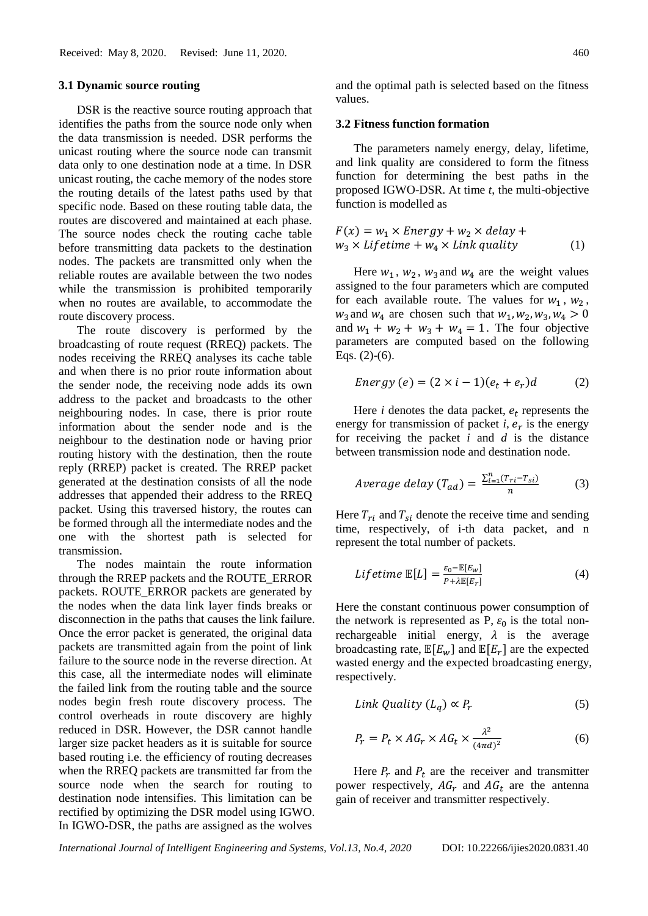#### **3.1 Dynamic source routing**

DSR is the reactive source routing approach that identifies the paths from the source node only when the data transmission is needed. DSR performs the unicast routing where the source node can transmit data only to one destination node at a time. In DSR unicast routing, the cache memory of the nodes store the routing details of the latest paths used by that specific node. Based on these routing table data, the routes are discovered and maintained at each phase. The source nodes check the routing cache table before transmitting data packets to the destination nodes. The packets are transmitted only when the reliable routes are available between the two nodes while the transmission is prohibited temporarily when no routes are available, to accommodate the route discovery process.

The route discovery is performed by the broadcasting of route request (RREQ) packets. The nodes receiving the RREQ analyses its cache table and when there is no prior route information about the sender node, the receiving node adds its own address to the packet and broadcasts to the other neighbouring nodes. In case, there is prior route information about the sender node and is the neighbour to the destination node or having prior routing history with the destination, then the route reply (RREP) packet is created. The RREP packet generated at the destination consists of all the node addresses that appended their address to the RREQ packet. Using this traversed history, the routes can be formed through all the intermediate nodes and the one with the shortest path is selected for transmission.

The nodes maintain the route information through the RREP packets and the ROUTE\_ERROR packets. ROUTE\_ERROR packets are generated by the nodes when the data link layer finds breaks or disconnection in the paths that causes the link failure. Once the error packet is generated, the original data packets are transmitted again from the point of link failure to the source node in the reverse direction. At this case, all the intermediate nodes will eliminate the failed link from the routing table and the source nodes begin fresh route discovery process. The control overheads in route discovery are highly reduced in DSR. However, the DSR cannot handle larger size packet headers as it is suitable for source based routing i.e. the efficiency of routing decreases when the RREQ packets are transmitted far from the source node when the search for routing to destination node intensifies. This limitation can be rectified by optimizing the DSR model using IGWO. In IGWO-DSR, the paths are assigned as the wolves

and the optimal path is selected based on the fitness values.

#### **3.2 Fitness function formation**

The parameters namely energy, delay, lifetime, and link quality are considered to form the fitness function for determining the best paths in the proposed IGWO-DSR. At time *t*, the multi-objective function is modelled as

$$
F(x) = w_1 \times Energy + w_2 \times delay + w_3 \times lifetime + w_4 \times Link\ quality
$$
 (1)

Here  $w_1$ ,  $w_2$ ,  $w_3$  and  $w_4$  are the weight values assigned to the four parameters which are computed for each available route. The values for  $w_1$ ,  $w_2$ ,  $w_3$  and  $w_4$  are chosen such that  $w_1, w_2, w_3, w_4 > 0$ and  $w_1 + w_2 + w_3 + w_4 = 1$ . The four objective parameters are computed based on the following Eqs.  $(2)-(6)$ .

$$
Energy (e) = (2 \times i - 1)(e_t + e_r)d \tag{2}
$$

Here  $i$  denotes the data packet,  $e_t$  represents the energy for transmission of packet  $i$ ,  $e_r$  is the energy for receiving the packet *i* and *d* is the distance between transmission node and destination node.

$$
Average delay (T_{ad}) = \frac{\sum_{i=1}^{n} (T_{ri} - T_{si})}{n}
$$
 (3)

Here  $T_{ri}$  and  $T_{si}$  denote the receive time and sending time, respectively, of i-th data packet, and n represent the total number of packets.

$$
Lifetime \mathbb{E}[L] = \frac{\varepsilon_0 - \mathbb{E}[E_w]}{P + \lambda \mathbb{E}[E_r]}
$$
 (4)

Here the constant continuous power consumption of the network is represented as P,  $\varepsilon_0$  is the total nonrechargeable initial energy,  $\lambda$  is the average broadcasting rate,  $\mathbb{E}[E_w]$  and  $\mathbb{E}[E_r]$  are the expected wasted energy and the expected broadcasting energy, respectively.

$$
Link\;Quality\;(L_q)\propto P_r\tag{5}
$$

$$
P_r = P_t \times AG_r \times AG_t \times \frac{\lambda^2}{(4\pi d)^2}
$$
 (6)

Here  $P_r$  and  $P_t$  are the receiver and transmitter power respectively,  $AG_r$  and  $AG_t$  are the antenna gain of receiver and transmitter respectively.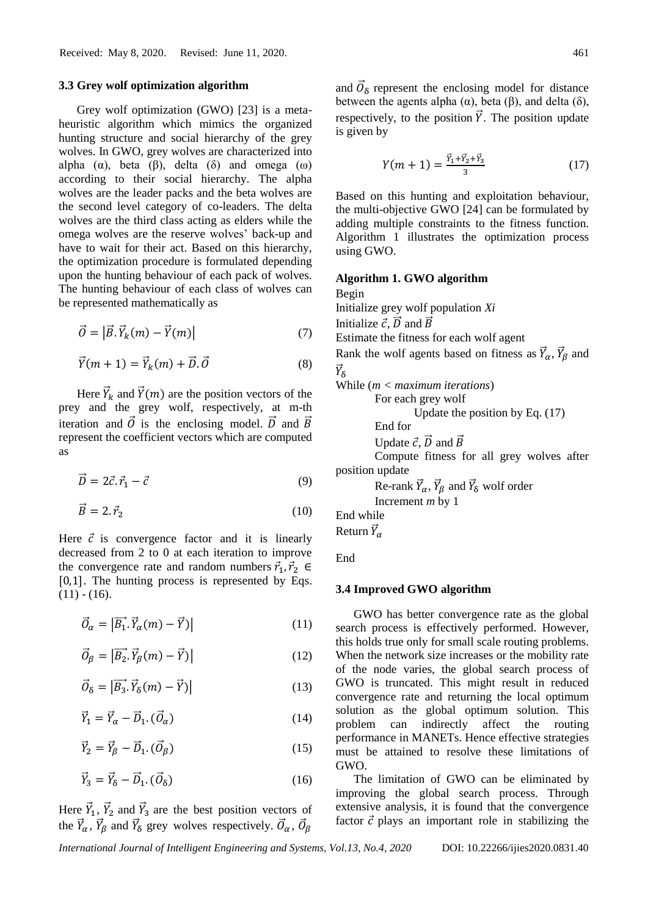#### **3.3 Grey wolf optimization algorithm**

Grey wolf optimization (GWO) [23] is a metaheuristic algorithm which mimics the organized hunting structure and social hierarchy of the grey wolves. In GWO, grey wolves are characterized into alpha  $(\alpha)$ , beta  $(\beta)$ , delta  $(\delta)$  and omega  $(\omega)$ according to their social hierarchy. The alpha wolves are the leader packs and the beta wolves are the second level category of co-leaders. The delta wolves are the third class acting as elders while the omega wolves are the reserve wolves' back-up and have to wait for their act. Based on this hierarchy, the optimization procedure is formulated depending upon the hunting behaviour of each pack of wolves. The hunting behaviour of each class of wolves can be represented mathematically as

$$
\vec{O} = |\vec{B}.\vec{Y}_k(m) - \vec{Y}(m)|\tag{7}
$$

$$
\vec{Y}(m+1) = \vec{Y}_k(m) + \vec{D} \cdot \vec{O} \tag{8}
$$

Here  $\vec{Y}_k$  and  $\vec{Y}(m)$  are the position vectors of the prey and the grey wolf, respectively, at m-th iteration and  $\vec{O}$  is the enclosing model.  $\vec{D}$  and  $\vec{B}$ represent the coefficient vectors which are computed as

$$
\vec{D} = 2\vec{c}.\vec{r}_1 - \vec{c} \tag{9}
$$

$$
\vec{B} = 2. \vec{r}_2 \tag{10}
$$

Here  $\vec{c}$  is convergence factor and it is linearly decreased from 2 to 0 at each iteration to improve the convergence rate and random numbers  $\vec{r}_1$ ,  $\vec{r}_2$   $\in$ [0,1]. The hunting process is represented by Eqs.  $(11) - (16)$ .

$$
\vec{O}_{\alpha} = |\vec{B_1} \cdot \vec{Y}_{\alpha}(m) - \vec{Y})| \tag{11}
$$

$$
\vec{O}_{\beta} = \left| \overrightarrow{B_2} \cdot \overrightarrow{Y}_{\beta}(m) - \overrightarrow{Y} \right| \tag{12}
$$

$$
\vec{O}_{\delta} = \left| \vec{B_3} \cdot \vec{Y}_{\delta}(m) - \vec{Y} \right| \tag{13}
$$

$$
\vec{Y}_1 = \vec{Y}_\alpha - \vec{D}_1 \cdot (\vec{O}_\alpha) \tag{14}
$$

$$
\vec{Y}_2 = \vec{Y}_{\beta} - \vec{D}_1 \cdot (\vec{O}_{\beta}) \tag{15}
$$

$$
\vec{Y}_3 = \vec{Y}_\delta - \vec{D}_1 \cdot (\vec{O}_\delta) \tag{16}
$$

Here  $\vec{Y}_1$ ,  $\vec{Y}_2$  and  $\vec{Y}_3$  are the best position vectors of the  $\vec{Y}_{\alpha}$ ,  $\vec{Y}_{\beta}$  and  $\vec{Y}_{\delta}$  grey wolves respectively.  $\vec{O}_{\alpha}$ ,  $\vec{O}_{\beta}$ 

and  $\vec{\theta}_{\delta}$  represent the enclosing model for distance between the agents alpha  $(\alpha)$ , beta  $(\beta)$ , and delta  $(\delta)$ , respectively, to the position  $\vec{Y}$ . The position update is given by

$$
Y(m+1) = \frac{\vec{Y}_1 + \vec{Y}_2 + \vec{Y}_3}{3} \tag{17}
$$

Based on this hunting and exploitation behaviour, the multi-objective GWO [24] can be formulated by adding multiple constraints to the fitness function. Algorithm 1 illustrates the optimization process using GWO.

#### **Algorithm 1. GWO algorithm**

Begin Initialize grey wolf population *Xi* Initialize  $\vec{c}$ ,  $\vec{D}$  and  $\vec{B}$ Estimate the fitness for each wolf agent Rank the wolf agents based on fitness as  $\vec{Y}_{\alpha}$ ,  $\vec{Y}_{\beta}$  and  $\vec{Y}_\delta$ While (*m < maximum iterations*) For each grey wolf

Update the position by Eq. (17)

End for

Update  $\vec{c}$ ,  $\vec{D}$  and  $\vec{B}$ 

Compute fitness for all grey wolves after position update

> Re-rank  $\vec{Y}_{\alpha}$ ,  $\vec{Y}_{\beta}$  and  $\vec{Y}_{\delta}$  wolf order Increment *m* by 1

End while

Return  $\vec{Y}_{\alpha}$ 

End

#### **3.4 Improved GWO algorithm**

GWO has better convergence rate as the global search process is effectively performed. However, this holds true only for small scale routing problems. When the network size increases or the mobility rate of the node varies, the global search process of GWO is truncated. This might result in reduced convergence rate and returning the local optimum solution as the global optimum solution. This problem can indirectly affect the routing performance in MANETs. Hence effective strategies must be attained to resolve these limitations of GWO.

The limitation of GWO can be eliminated by improving the global search process. Through extensive analysis, it is found that the convergence factor  $\vec{c}$  plays an important role in stabilizing the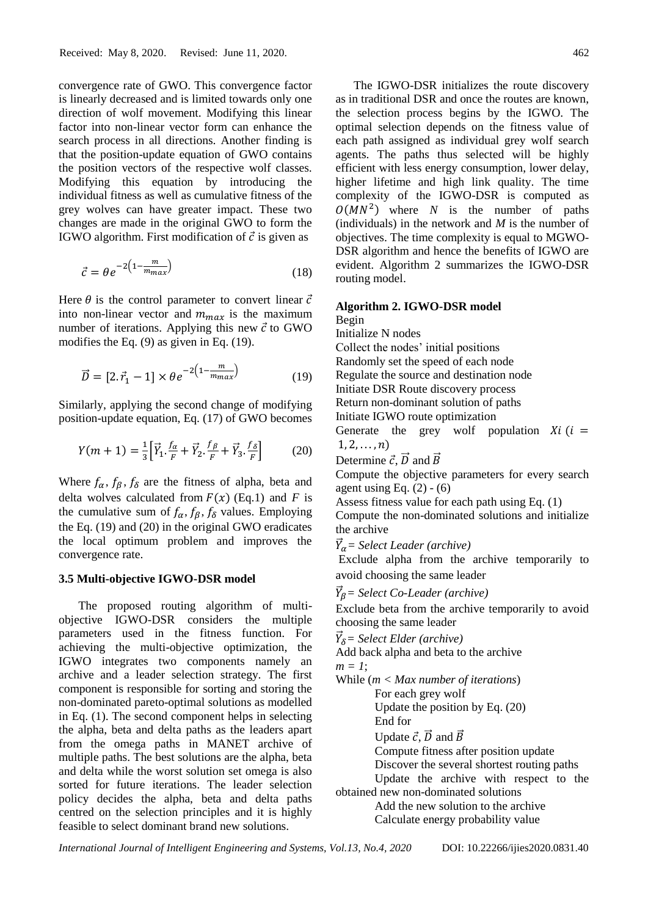convergence rate of GWO. This convergence factor is linearly decreased and is limited towards only one direction of wolf movement. Modifying this linear factor into non-linear vector form can enhance the search process in all directions. Another finding is that the position-update equation of GWO contains the position vectors of the respective wolf classes. Modifying this equation by introducing the individual fitness as well as cumulative fitness of the grey wolves can have greater impact. These two changes are made in the original GWO to form the IGWO algorithm. First modification of  $\vec{c}$  is given as

$$
\vec{c} = \theta e^{-2\left(1 - \frac{m}{m_{max}}\right)}\tag{18}
$$

Here  $\theta$  is the control parameter to convert linear  $\vec{c}$ into non-linear vector and  $m_{max}$  is the maximum number of iterations. Applying this new  $\vec{c}$  to GWO modifies the Eq. (9) as given in Eq. (19).

$$
\vec{D} = [2.\vec{r}_1 - 1] \times \theta e^{-2\left(1 - \frac{m}{m_{max}}\right)} \tag{19}
$$

Similarly, applying the second change of modifying position-update equation, Eq. (17) of GWO becomes

$$
Y(m+1) = \frac{1}{3} \Big[ \vec{Y}_1 \cdot \frac{f_\alpha}{F} + \vec{Y}_2 \cdot \frac{f_\beta}{F} + \vec{Y}_3 \cdot \frac{f_\delta}{F} \Big] \tag{20}
$$

Where  $f_{\alpha}$ ,  $f_{\beta}$ ,  $f_{\delta}$  are the fitness of alpha, beta and delta wolves calculated from  $F(x)$  (Eq.1) and *F* is the cumulative sum of  $f_{\alpha}$ ,  $f_{\beta}$ ,  $f_{\delta}$  values. Employing the Eq. (19) and (20) in the original GWO eradicates the local optimum problem and improves the convergence rate.

#### **3.5 Multi-objective IGWO-DSR model**

The proposed routing algorithm of multiobjective IGWO-DSR considers the multiple parameters used in the fitness function. For achieving the multi-objective optimization, the IGWO integrates two components namely an archive and a leader selection strategy. The first component is responsible for sorting and storing the non-dominated pareto-optimal solutions as modelled in Eq. (1). The second component helps in selecting the alpha, beta and delta paths as the leaders apart from the omega paths in MANET archive of multiple paths. The best solutions are the alpha, beta and delta while the worst solution set omega is also sorted for future iterations. The leader selection policy decides the alpha, beta and delta paths centred on the selection principles and it is highly feasible to select dominant brand new solutions.

The IGWO-DSR initializes the route discovery as in traditional DSR and once the routes are known, the selection process begins by the IGWO. The optimal selection depends on the fitness value of each path assigned as individual grey wolf search agents. The paths thus selected will be highly efficient with less energy consumption, lower delay, higher lifetime and high link quality. The time complexity of the IGWO-DSR is computed as  $O(MN^2)$  where *N* is the number of paths (individuals) in the network and *M* is the number of objectives. The time complexity is equal to MGWO-DSR algorithm and hence the benefits of IGWO are evident. Algorithm 2 summarizes the IGWO-DSR

## **Algorithm 2. IGWO-DSR model**

routing model.

Begin Initialize N nodes Collect the nodes' initial positions Randomly set the speed of each node Regulate the source and destination node Initiate DSR Route discovery process Return non-dominant solution of paths Initiate IGWO route optimization Generate the grey wolf population  $Xi(i =$  $1, 2, \ldots, n)$ Determine  $\vec{c}$ ,  $\vec{D}$  and  $\vec{B}$ Compute the objective parameters for every search agent using Eq.  $(2) - (6)$ Assess fitness value for each path using Eq. (1)

Compute the non-dominated solutions and initialize the archive

⃗ *= Select Leader (archive)*

Exclude alpha from the archive temporarily to avoid choosing the same leader

 $\vec{Y}_{\beta}$  = Select Co-Leader (archive)

Exclude beta from the archive temporarily to avoid choosing the same leader

⃗ *= Select Elder (archive)* Add back alpha and beta to the archive *m = 1*;

While (*m < Max number of iterations*) For each grey wolf

Update the position by Eq. (20) End for

Update  $\vec{c}$ ,  $\vec{D}$  and  $\vec{B}$ 

Compute fitness after position update

Discover the several shortest routing paths Update the archive with respect to the

obtained new non-dominated solutions

Add the new solution to the archive Calculate energy probability value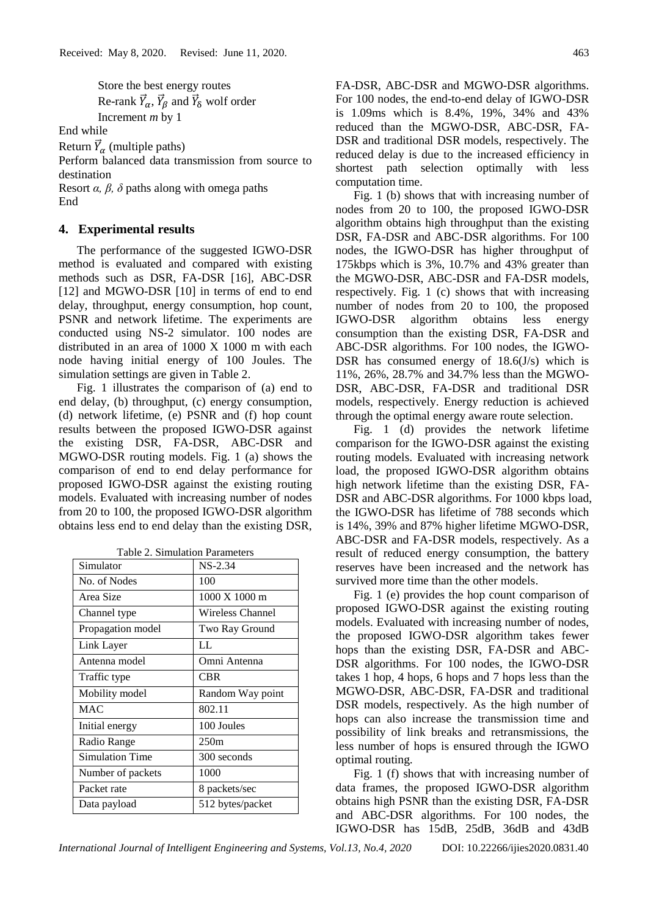Store the best energy routes Re-rank  $\vec{Y}_{\alpha}$ ,  $\vec{Y}_{\beta}$  and  $\vec{Y}_{\delta}$  wolf order Increment *m* by 1

End while

Return  $\vec{Y}_{\alpha}$  (multiple paths)

Perform balanced data transmission from source to destination

Resort *α, β, δ* paths along with omega paths End

## **4. Experimental results**

The performance of the suggested IGWO-DSR method is evaluated and compared with existing methods such as DSR, FA-DSR [16], ABC-DSR [12] and MGWO-DSR [10] in terms of end to end delay, throughput, energy consumption, hop count, PSNR and network lifetime. The experiments are conducted using NS-2 simulator. 100 nodes are distributed in an area of 1000 X 1000 m with each node having initial energy of 100 Joules. The simulation settings are given in Table 2.

Fig. 1 illustrates the comparison of (a) end to end delay, (b) throughput, (c) energy consumption, (d) network lifetime, (e) PSNR and (f) hop count results between the proposed IGWO-DSR against the existing DSR, FA-DSR, ABC-DSR and MGWO-DSR routing models. Fig. 1 (a) shows the comparison of end to end delay performance for proposed IGWO-DSR against the existing routing models. Evaluated with increasing number of nodes from 20 to 100, the proposed IGWO-DSR algorithm obtains less end to end delay than the existing DSR,

|  | Table 2. Simulation Parameters |  |
|--|--------------------------------|--|
|--|--------------------------------|--|

| Simulator         | $NS-2.34$                       |  |
|-------------------|---------------------------------|--|
| No. of Nodes      | 100                             |  |
| Area Size         | $1000 \text{ X} 1000 \text{ m}$ |  |
| Channel type      | Wireless Channel                |  |
| Propagation model | Two Ray Ground                  |  |
| Link Layer        | LL                              |  |
| Antenna model     | Omni Antenna                    |  |
| Traffic type      | <b>CBR</b>                      |  |
| Mobility model    | Random Way point                |  |
| <b>MAC</b>        | 802.11                          |  |
| Initial energy    | 100 Joules                      |  |
| Radio Range       | 250m                            |  |
| Simulation Time   | 300 seconds                     |  |
| Number of packets | 1000                            |  |
| Packet rate       | 8 packets/sec                   |  |
| Data payload      | 512 bytes/packet                |  |

FA-DSR, ABC-DSR and MGWO-DSR algorithms. For 100 nodes, the end-to-end delay of IGWO-DSR is 1.09ms which is 8.4%, 19%, 34% and 43% reduced than the MGWO-DSR, ABC-DSR, FA-DSR and traditional DSR models, respectively. The reduced delay is due to the increased efficiency in shortest path selection optimally with less computation time.

Fig. 1 (b) shows that with increasing number of nodes from 20 to 100, the proposed IGWO-DSR algorithm obtains high throughput than the existing DSR, FA-DSR and ABC-DSR algorithms. For 100 nodes, the IGWO-DSR has higher throughput of 175kbps which is 3%, 10.7% and 43% greater than the MGWO-DSR, ABC-DSR and FA-DSR models, respectively. Fig. 1 (c) shows that with increasing number of nodes from 20 to 100, the proposed IGWO-DSR algorithm obtains less energy consumption than the existing DSR, FA-DSR and ABC-DSR algorithms. For 100 nodes, the IGWO-DSR has consumed energy of 18.6(J/s) which is 11%, 26%, 28.7% and 34.7% less than the MGWO-DSR, ABC-DSR, FA-DSR and traditional DSR models, respectively. Energy reduction is achieved through the optimal energy aware route selection.

Fig. 1 (d) provides the network lifetime comparison for the IGWO-DSR against the existing routing models. Evaluated with increasing network load, the proposed IGWO-DSR algorithm obtains high network lifetime than the existing DSR, FA-DSR and ABC-DSR algorithms. For 1000 kbps load, the IGWO-DSR has lifetime of 788 seconds which is 14%, 39% and 87% higher lifetime MGWO-DSR, ABC-DSR and FA-DSR models, respectively. As a result of reduced energy consumption, the battery reserves have been increased and the network has survived more time than the other models.

Fig. 1 (e) provides the hop count comparison of proposed IGWO-DSR against the existing routing models. Evaluated with increasing number of nodes, the proposed IGWO-DSR algorithm takes fewer hops than the existing DSR, FA-DSR and ABC-DSR algorithms. For 100 nodes, the IGWO-DSR takes 1 hop, 4 hops, 6 hops and 7 hops less than the MGWO-DSR, ABC-DSR, FA-DSR and traditional DSR models, respectively. As the high number of hops can also increase the transmission time and possibility of link breaks and retransmissions, the less number of hops is ensured through the IGWO optimal routing.

Fig. 1 (f) shows that with increasing number of data frames, the proposed IGWO-DSR algorithm obtains high PSNR than the existing DSR, FA-DSR and ABC-DSR algorithms. For 100 nodes, the IGWO-DSR has 15dB, 25dB, 36dB and 43dB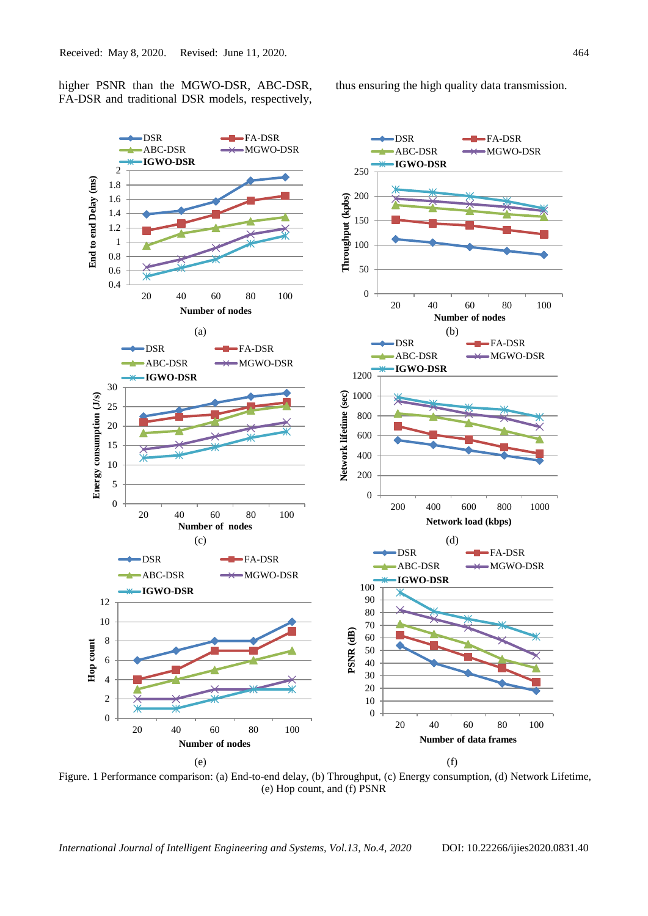higher PSNR than the MGWO-DSR, ABC-DSR, FA-DSR and traditional DSR models, respectively, thus ensuring the high quality data transmission.



Figure. 1 Performance comparison: (a) End-to-end delay, (b) Throughput, (c) Energy consumption, (d) Network Lifetime, (e) Hop count, and (f) PSNR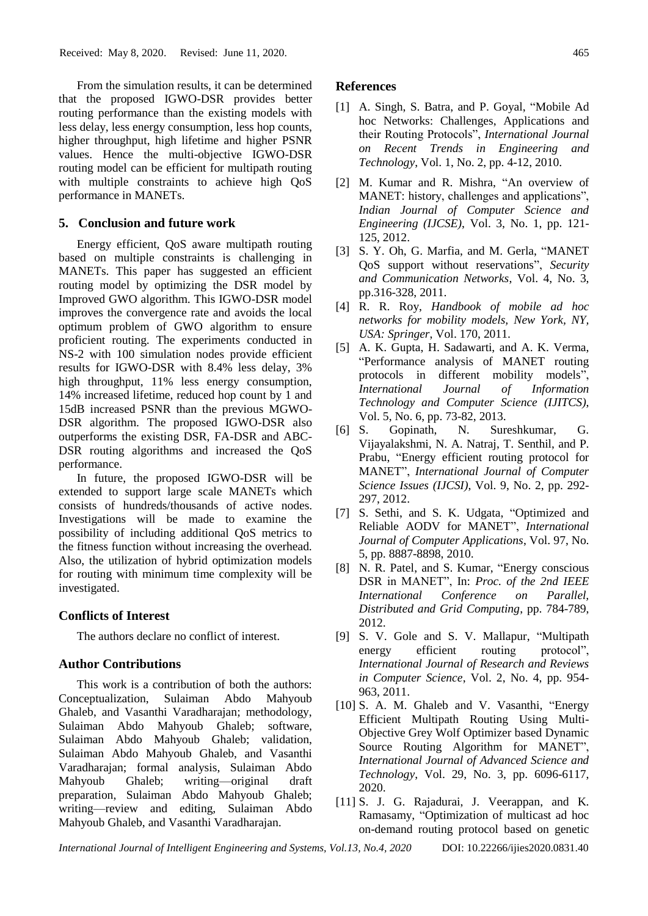From the simulation results, it can be determined that the proposed IGWO-DSR provides better routing performance than the existing models with less delay, less energy consumption, less hop counts, higher throughput, high lifetime and higher PSNR values. Hence the multi-objective IGWO-DSR routing model can be efficient for multipath routing with multiple constraints to achieve high QoS performance in MANETs.

## **5. Conclusion and future work**

Energy efficient, QoS aware multipath routing based on multiple constraints is challenging in MANETs. This paper has suggested an efficient routing model by optimizing the DSR model by Improved GWO algorithm. This IGWO-DSR model improves the convergence rate and avoids the local optimum problem of GWO algorithm to ensure proficient routing. The experiments conducted in NS-2 with 100 simulation nodes provide efficient results for IGWO-DSR with 8.4% less delay, 3% high throughput, 11% less energy consumption, 14% increased lifetime, reduced hop count by 1 and 15dB increased PSNR than the previous MGWO-DSR algorithm. The proposed IGWO-DSR also outperforms the existing DSR, FA-DSR and ABC-DSR routing algorithms and increased the QoS performance.

In future, the proposed IGWO-DSR will be extended to support large scale MANETs which consists of hundreds/thousands of active nodes. Investigations will be made to examine the possibility of including additional QoS metrics to the fitness function without increasing the overhead. Also, the utilization of hybrid optimization models for routing with minimum time complexity will be investigated.

#### **Conflicts of Interest**

The authors declare no conflict of interest.

## **Author Contributions**

This work is a contribution of both the authors: Conceptualization, Sulaiman Abdo Mahyoub Ghaleb, and Vasanthi Varadharajan; methodology, Sulaiman Abdo Mahyoub Ghaleb; software, Sulaiman Abdo Mahyoub Ghaleb; validation, Sulaiman Abdo Mahyoub Ghaleb, and Vasanthi Varadharajan; formal analysis, Sulaiman Abdo Mahyoub Ghaleb; writing—original draft preparation, Sulaiman Abdo Mahyoub Ghaleb; writing—review and editing, Sulaiman Abdo Mahyoub Ghaleb, and Vasanthi Varadharajan.

# **References**

- [1] A. Singh, S. Batra, and P. Goyal, "Mobile Ad hoc Networks: Challenges, Applications and their Routing Protocols", *International Journal on Recent Trends in Engineering and Technology*, Vol. 1, No. 2, pp. 4-12, 2010.
- [2] M. Kumar and R. Mishra, "An overview of MANET: history, challenges and applications", *Indian Journal of Computer Science and Engineering (IJCSE)*, Vol. 3, No. 1, pp. 121- 125, 2012.
- [3] S. Y. Oh, G. Marfia, and M. Gerla, "MANET QoS support without reservations", *Security and Communication Networks*, Vol. 4, No. 3, pp.316-328, 2011.
- [4] R. R. Roy, *Handbook of mobile ad hoc networks for mobility models, New York, NY, USA: Springer*, Vol. 170, 2011.
- [5] A. K. Gupta, H. Sadawarti, and A. K. Verma, "Performance analysis of MANET routing protocols in different mobility models", *International Journal of Information Technology and Computer Science (IJITCS)*, Vol. 5, No. 6, pp. 73-82, 2013.
- [6] S. Gopinath, N. Sureshkumar, G. Vijayalakshmi, N. A. Natraj, T. Senthil, and P. Prabu, "Energy efficient routing protocol for MANET", *International Journal of Computer Science Issues (IJCSI)*, Vol. 9, No. 2, pp. 292- 297, 2012.
- [7] S. Sethi, and S. K. Udgata, "Optimized and Reliable AODV for MANET", *International Journal of Computer Applications*, Vol. 97, No. 5, pp. 8887-8898, 2010.
- [8] N. R. Patel, and S. Kumar, "Energy conscious DSR in MANET", In: *Proc. of the 2nd IEEE International Conference on Parallel, Distributed and Grid Computing*, pp. 784-789, 2012.
- [9] S. V. Gole and S. V. Mallapur, "Multipath energy efficient routing protocol", *International Journal of Research and Reviews in Computer Science*, Vol. 2, No. 4, pp. 954- 963, 2011.
- [10] S. A. M. Ghaleb and V. Vasanthi, "Energy Efficient Multipath Routing Using Multi-Objective Grey Wolf Optimizer based Dynamic Source Routing Algorithm for MANET", *International Journal of Advanced Science and Technology*, Vol. 29, No. 3, pp. 6096-6117, 2020.
- [11] S. J. G. Rajadurai, J. Veerappan, and K. Ramasamy, "Optimization of multicast ad hoc on-demand routing protocol based on genetic